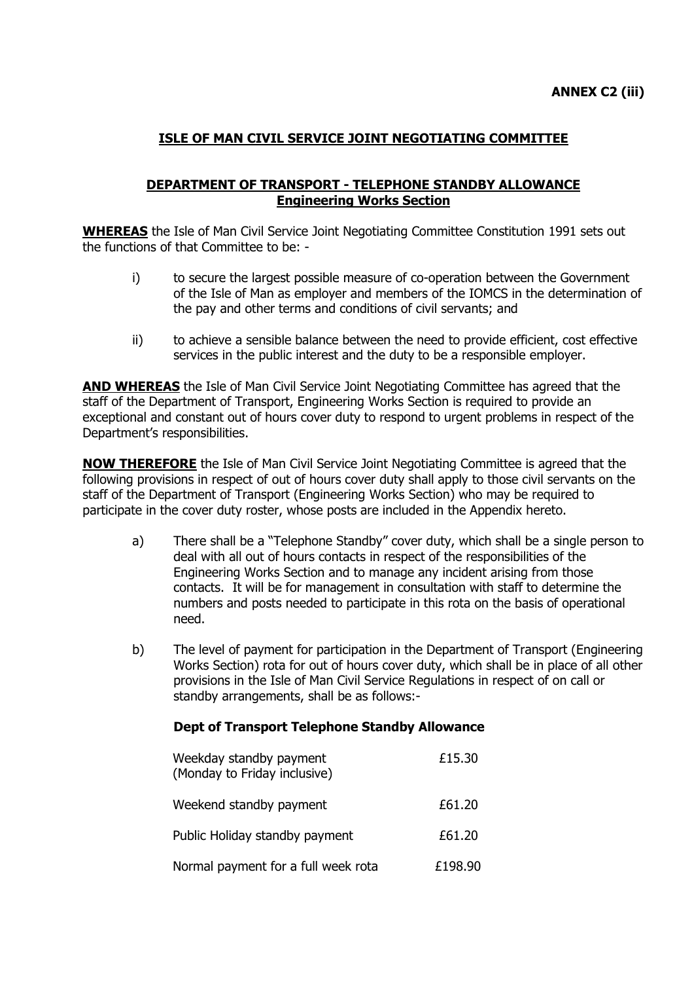# **ISLE OF MAN CIVIL SERVICE JOINT NEGOTIATING COMMITTEE**

### **DEPARTMENT OF TRANSPORT - TELEPHONE STANDBY ALLOWANCE Engineering Works Section**

**WHEREAS** the Isle of Man Civil Service Joint Negotiating Committee Constitution 1991 sets out the functions of that Committee to be: -

- i) to secure the largest possible measure of co-operation between the Government of the Isle of Man as employer and members of the IOMCS in the determination of the pay and other terms and conditions of civil servants; and
- ii) to achieve a sensible balance between the need to provide efficient, cost effective services in the public interest and the duty to be a responsible employer.

**AND WHEREAS** the Isle of Man Civil Service Joint Negotiating Committee has agreed that the staff of the Department of Transport, Engineering Works Section is required to provide an exceptional and constant out of hours cover duty to respond to urgent problems in respect of the Department"s responsibilities.

**NOW THEREFORE** the Isle of Man Civil Service Joint Negotiating Committee is agreed that the following provisions in respect of out of hours cover duty shall apply to those civil servants on the staff of the Department of Transport (Engineering Works Section) who may be required to participate in the cover duty roster, whose posts are included in the Appendix hereto.

- a) There shall be a "Telephone Standby" cover duty, which shall be a single person to deal with all out of hours contacts in respect of the responsibilities of the Engineering Works Section and to manage any incident arising from those contacts. It will be for management in consultation with staff to determine the numbers and posts needed to participate in this rota on the basis of operational need.
- b) The level of payment for participation in the Department of Transport (Engineering Works Section) rota for out of hours cover duty, which shall be in place of all other provisions in the Isle of Man Civil Service Regulations in respect of on call or standby arrangements, shall be as follows:-

#### **Dept of Transport Telephone Standby Allowance**

| Weekday standby payment<br>(Monday to Friday inclusive) | £15.30  |
|---------------------------------------------------------|---------|
| Weekend standby payment                                 | £61.20  |
| Public Holiday standby payment                          | £61.20  |
| Normal payment for a full week rota                     | £198.90 |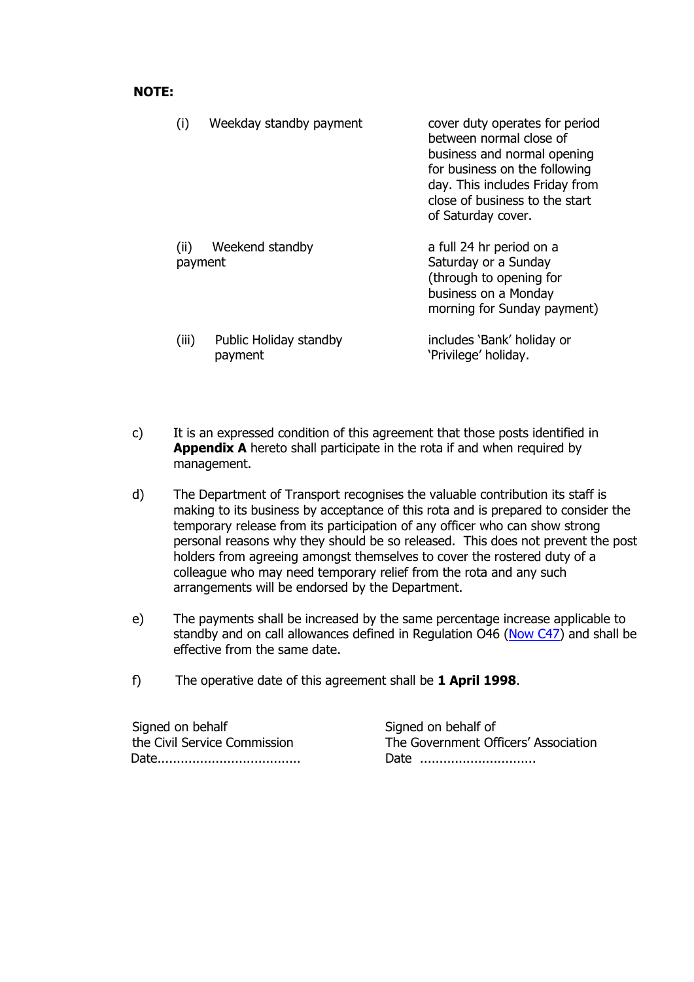#### **NOTE:**

|                 | Weekday standby payment           | cover duty operates for period<br>between normal close of<br>business and normal opening<br>for business on the following<br>day. This includes Friday from<br>close of business to the start<br>of Saturday cover. |
|-----------------|-----------------------------------|---------------------------------------------------------------------------------------------------------------------------------------------------------------------------------------------------------------------|
| (ii)<br>payment | Weekend standby                   | a full 24 hr period on a<br>Saturday or a Sunday<br>(through to opening for<br>business on a Monday<br>morning for Sunday payment)                                                                                  |
| (iii)           | Public Holiday standby<br>payment | includes 'Bank' holiday or<br>'Privilege' holiday.                                                                                                                                                                  |

- c) It is an expressed condition of this agreement that those posts identified in **Appendix A** hereto shall participate in the rota if and when required by management.
- d) The Department of Transport recognises the valuable contribution its staff is making to its business by acceptance of this rota and is prepared to consider the temporary release from its participation of any officer who can show strong personal reasons why they should be so released. This does not prevent the post holders from agreeing amongst themselves to cover the rostered duty of a colleague who may need temporary relief from the rota and any such arrangements will be endorsed by the Department.
- e) The payments shall be increased by the same percentage increase applicable to standby and on call allowances defined in Regulation O46 [\(Now C47\)](http://www.gov.im/personnel/iomcs/cs_regs/section_C/overtime.xml#c47) and shall be effective from the same date.
- f) The operative date of this agreement shall be **1 April 1998**.

Signed on behalf Signed on behalf of Date..................................... Date ..............................

the Civil Service Commission The Government Officers" Association